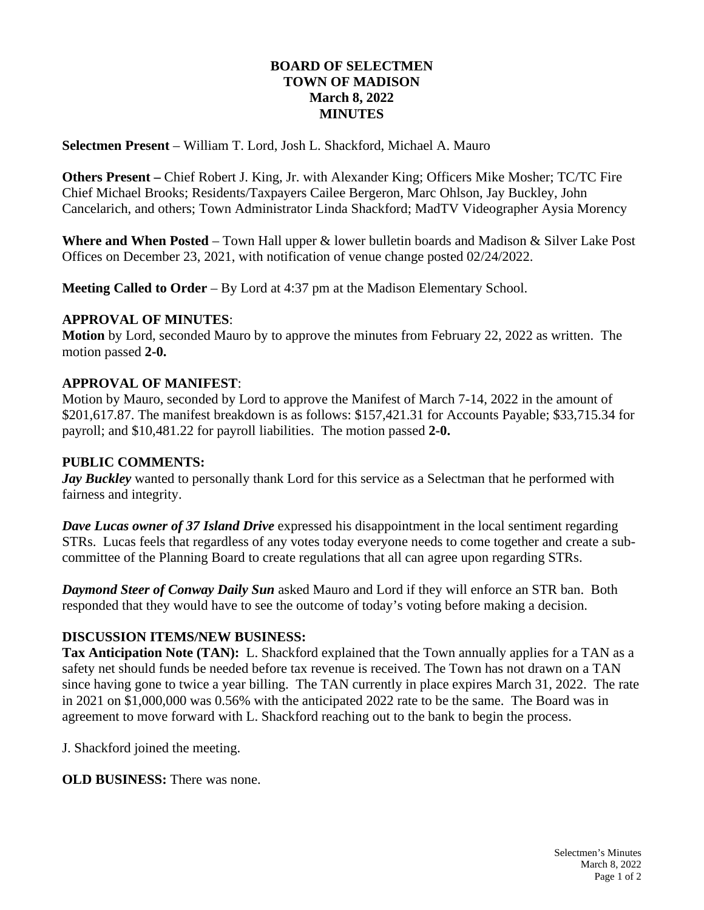# **BOARD OF SELECTMEN TOWN OF MADISON March 8, 2022 MINUTES**

**Selectmen Present** – William T. Lord, Josh L. Shackford, Michael A. Mauro

**Others Present –** Chief Robert J. King, Jr. with Alexander King; Officers Mike Mosher; TC/TC Fire Chief Michael Brooks; Residents/Taxpayers Cailee Bergeron, Marc Ohlson, Jay Buckley, John Cancelarich, and others; Town Administrator Linda Shackford; MadTV Videographer Aysia Morency

**Where and When Posted** – Town Hall upper & lower bulletin boards and Madison & Silver Lake Post Offices on December 23, 2021, with notification of venue change posted 02/24/2022.

**Meeting Called to Order** – By Lord at 4:37 pm at the Madison Elementary School.

## **APPROVAL OF MINUTES**:

**Motion** by Lord, seconded Mauro by to approve the minutes from February 22, 2022 as written. The motion passed **2-0.**

## **APPROVAL OF MANIFEST**:

Motion by Mauro, seconded by Lord to approve the Manifest of March 7-14, 2022 in the amount of \$201,617.87. The manifest breakdown is as follows: \$157,421.31 for Accounts Payable; \$33,715.34 for payroll; and \$10,481.22 for payroll liabilities. The motion passed **2-0.**

### **PUBLIC COMMENTS:**

*Jay Buckley* wanted to personally thank Lord for this service as a Selectman that he performed with fairness and integrity.

*Dave Lucas owner of 37 Island Drive* expressed his disappointment in the local sentiment regarding STRs. Lucas feels that regardless of any votes today everyone needs to come together and create a subcommittee of the Planning Board to create regulations that all can agree upon regarding STRs.

*Daymond Steer of Conway Daily Sun* asked Mauro and Lord if they will enforce an STR ban. Both responded that they would have to see the outcome of today's voting before making a decision.

# **DISCUSSION ITEMS/NEW BUSINESS:**

**Tax Anticipation Note (TAN):** L. Shackford explained that the Town annually applies for a TAN as a safety net should funds be needed before tax revenue is received. The Town has not drawn on a TAN since having gone to twice a year billing. The TAN currently in place expires March 31, 2022. The rate in 2021 on \$1,000,000 was 0.56% with the anticipated 2022 rate to be the same. The Board was in agreement to move forward with L. Shackford reaching out to the bank to begin the process.

J. Shackford joined the meeting.

**OLD BUSINESS:** There was none.